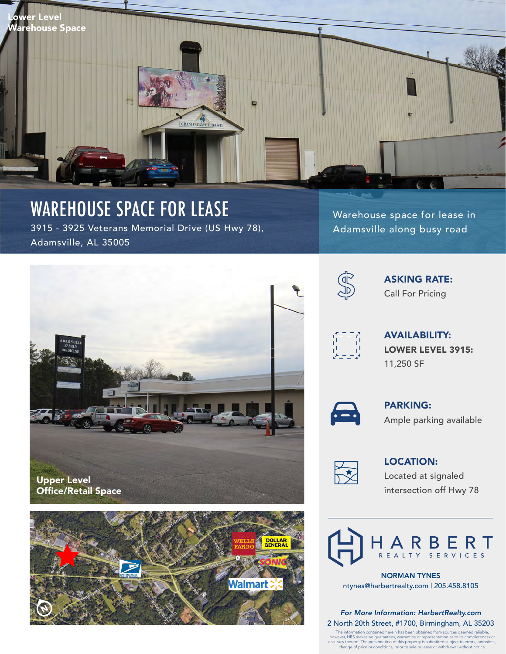

## WAREHOUSE SPACE FOR LEASE

3915 - 3925 Veterans Memorial Drive (US Hwy 78), Adamsville, AL 35005

Upper Level Office/Retail Space



Warehouse space for lease in Adamsville along busy road



ASKING RATE: Call For Pricing



AVAILABILITY: LOWER LEVEL 3915: 11,250 SF



PARKING: Ample parking available



LOCATION: Located at signaled intersection off Hwy 78



NORMAN TYNES ntynes@harbertrealty.com | 205.458.8105

*For More Information: HarbertRealty.com* 2 North 20th Street, #1700, Birmingham, AL 35203

The information contained herein has been obtained from sources deemed reliable,<br>however, HRS makes no guarantees, warranties or representation as to its completeness or<br>accuracy thereof. The presentation of this property